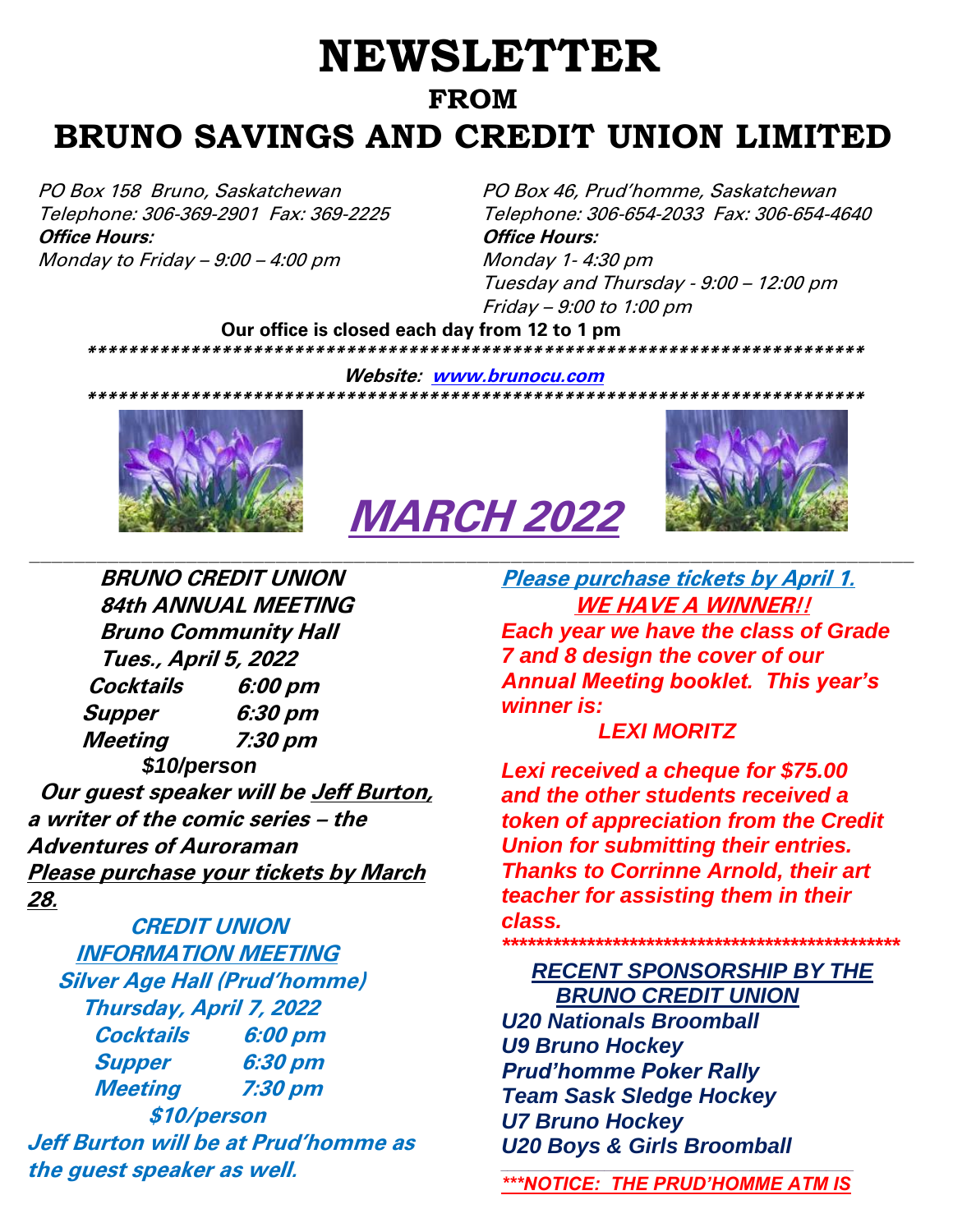## **NEWSLETTER FROM BRUNO SAVINGS AND CREDIT UNION LIMITED**

PO Box 158 Bruno, Saskatchewan PO Box 46, Prud'homme, Saskatchewan **Office Hours: Office Hours:** Monday to Friday  $-9:00 - 4:00$  pm  $Monday$  1-4:30 pm

Telephone: 306-369-2901 Fax: 369-2225 Telephone: 306-654-2033 Fax: 306-654-4640 Tuesday and Thursday - 9:00 – 12:00 pm Friday – 9:00 to 1:00 pm

 **Our office is closed each day from 12 to 1 pm \*\*\*\*\*\*\*\*\*\*\*\*\*\*\*\*\*\*\*\*\*\*\*\*\*\*\*\*\*\*\*\*\*\*\*\*\*\*\*\*\*\*\*\*\*\*\*\*\*\*\*\*\*\*\*\*\*\*\*\*\*\*\*\*\*\*\*\*\*\*\*\*\*\*\***

**Website: [www.brunocu.com](http://www.brunocu.com/)**



# **MARCH 2022**



 **BRUNO CREDIT UNION 84th ANNUAL MEETING Bruno Community Hall Tues., April 5, 2022 Cocktails 6:00 pm Supper 6:30 pm Meeting 7:30 pm**  *\$10/person*  **Our guest speaker will be Jeff Burton, a writer of the comic series – the Adventures of Auroraman Please purchase your tickets by March 28.**

**CREDIT UNION INFORMATION MEETING Silver Age Hall (Prud'homme) Thursday, April 7, 2022 Cocktails 6:00 pm Supper 6:30 pm Meeting 7:30 pm \$10/person Jeff Burton will be at Prud'homme as the guest speaker as well.**

**Please purchase tickets by April 1. WE HAVE A WINNER!!** *Each year we have the class of Grade 7 and 8 design the cover of our Annual Meeting booklet. This year's winner is:*

### *LEXI MORITZ*

*Lexi received a cheque for \$75.00 and the other students received a token of appreciation from the Credit Union for submitting their entries. Thanks to Corrinne Arnold, their art teacher for assisting them in their class.*

## *\*\*\*\*\*\*\*\*\*\*\*\*\*\*\*\*\*\*\*\*\*\*\*\*\*\*\*\*\*\*\*\*\*\*\*\*\*\*\*\*\*\*\*\*\*\*\* RECENT SPONSORSHIP BY THE*

 *BRUNO CREDIT UNION U20 Nationals Broomball U9 Bruno Hockey Prud'homme Poker Rally Team Sask Sledge Hockey U7 Bruno Hockey U20 Boys & Girls Broomball*

*\_\_\_\_\_\_\_\_\_\_\_\_\_\_\_\_\_\_\_\_\_\_\_\_\_\_\_\_\_\_\_\_\_\_\_\_\_\_\_\_\_\_\_\_\_\_\_\_\_\_\_ \*\*\*NOTICE: THE PRUD'HOMME ATM IS*